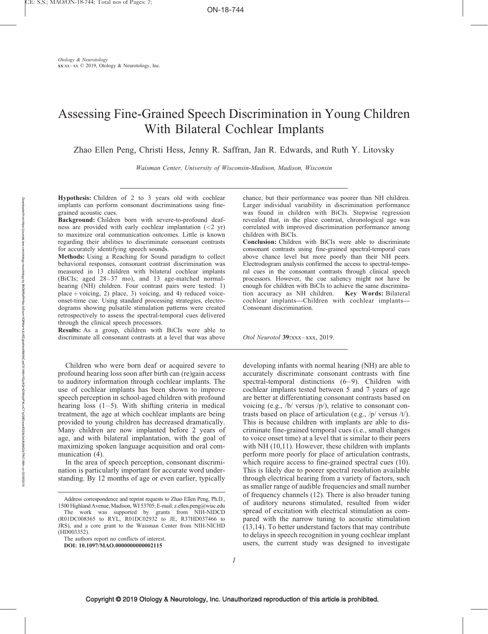# Assessing Fine-Grained Speech Discrimination in Young Children With Bilateral Cochlear Implants

Zhao Ellen Peng, Christi Hess, Jenny R. Saffran, Jan R. Edwards, and Ruth Y. Litovsky

Waisman Center, University of Wisconsin-Madison, Madison, Wisconsin

Hypothesis: Children of 2 to 3 years old with cochlear implants can perform consonant discriminations using finegrained acoustic cues.

Background: Children born with severe-to-profound deafness are provided with early cochlear implantation  $(< 2$  yr) to maximize oral communication outcomes. Little is known regarding their abilities to discriminate consonant contrasts for accurately identifying speech sounds.

Methods: Using a Reaching for Sound paradigm to collect behavioral responses, consonant contrast discrimination was measured in 13 children with bilateral cochlear implants (BiCIs; aged 28–37 mo), and 13 age-matched normalhearing (NH) children. Four contrast pairs were tested: 1) place  $+$  voicing, 2) place, 3) voicing, and 4) reduced voiceonset-time cue. Using standard processing strategies, electrodograms showing pulsatile stimulation patterns were created retrospectively to assess the spectral-temporal cues delivered through the clinical speech processors.

Results: As a group, children with BiCIs were able to discriminate all consonant contrasts at a level that was above

Children who were born deaf or acquired severe to profound hearing loss soon after birth can (re)gain access to auditory information through cochlear implants. The use of cochlear implants has been shown to improve speech perception in school-aged children with profound hearing loss  $(1-5)$ . With shifting criteria in medical treatment, the age at which cochlear implants are being provided to young children has decreased dramatically. Many children are now implanted before 2 years of age, and with bilateral implantation, with the goal of maximizing spoken language acquisition and oral communication  $(4)$ .

In the area of speech perception, consonant discrimination is particularly important for accurate word understanding. By 12 months of age or even earlier, typically

The authors report no conflicts of interest. DOI: 10.1097/MAO.0000000000002115

chance, but their performance was poorer than NH children. Larger individual variability in discrimination performance was found in children with BiCIs. Stepwise regression revealed that, in the place contrast, chronological age was correlated with improved discrimination performance among children with BiCIs.

Conclusion: Children with BiCIs were able to discriminate consonant contrasts using fine-grained spectral-temporal cues above chance level but more poorly than their NH peers. Electrodogram analysis confirmed the access to spectral-temporal cues in the consonant contrasts through clinical speech processors. However, the cue saliency might not have be enough for children with BiCIs to achieve the same discrimination accuracy as NH children. Key Words: Bilateral cochlear implants—Children with cochlear implants— Consonant discrimination.

Otol Neurotol 39:xxx–xxx, 2019.

developing infants with normal hearing (NH) are able to accurately discriminate consonant contrasts with fine spectral-temporal distinctions (6–9). Children with cochlear implants tested between 5 and 7 years of age are better at differentiating consonant contrasts based on voicing (e.g., /b/ versus /p/), relative to consonant contrasts based on place of articulation (e.g., /p/ versus /t/). This is because children with implants are able to discriminate fine-grained temporal cues (i.e., small changes to voice onset time) at a level that is similar to their peers with NH (10,11). However, these children with implants perform more poorly for place of articulation contrasts, which require access to fine-grained spectral cues (10). This is likely due to poorer spectral resolution available through electrical hearing from a variety of factors, such as smaller range of audible frequencies and small number of frequency channels (12). There is also broader tuning of auditory neurons stimulated, resulted from wider spread of excitation with electrical stimulation as compared with the narrow tuning to acoustic stimulation (13,14). To better understand factors that may contribute to delays in speech recognition in young cochlear implant users, the current study was designed to investigate

Address correspondence and reprint requests to Zhao Ellen Peng, Ph.D., 1500 Highland Avenue, Madison, WI 53705; E-mail: [z.ellen.peng@wisc.edu](mailto:z.ellen.peng@wisc.edu) The work was supported by grants from NIH-NIDCD  $(R01DC008365$  to RYL,  $R01DC02932$  to JE, R37HD037466 to

JRS), and a core grant to the Waisman Center from NIH-NICHD (HD003352).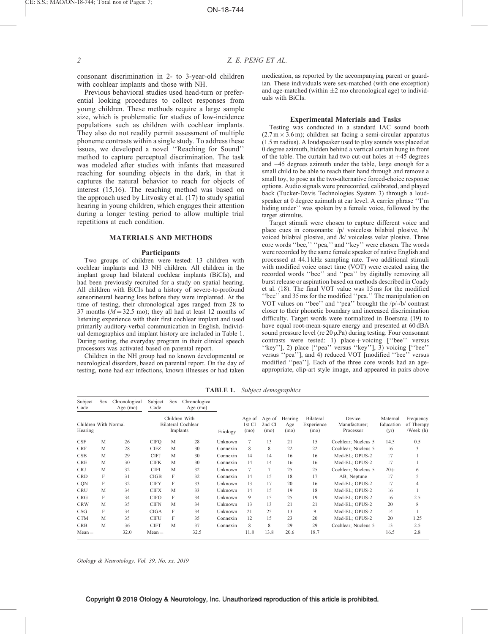consonant discrimination in 2- to 3-year-old children with cochlear implants and those with NH.

Previous behavioral studies used head-turn or preferential looking procedures to collect responses from young children. These methods require a large sample size, which is problematic for studies of low-incidence populations such as children with cochlear implants. They also do not readily permit assessment of multiple phoneme contrasts within a single study. To address these issues, we developed a novel ''Reaching for Sound'' method to capture perceptual discrimination. The task was modeled after studies with infants that measured reaching for sounding objects in the dark, in that it captures the natural behavior to reach for objects of interest (15,16). The reaching method was based on the approach used by Litvosky et al. (17) to study spatial hearing in young children, which engages their attention during a longer testing period to allow multiple trial repetitions at each condition.

## MATERIALS AND METHODS

### Participants

Two groups of children were tested: 13 children with cochlear implants and 13 NH children. All children in the implant group had bilateral cochlear implants (BiCIs), and had been previously recruited for a study on spatial hearing. All children with BiCIs had a history of severe-to-profound sensorineural hearing loss before they were implanted. At the time of testing, their chronological ages ranged from 28 to 37 months ( $M = 32.5$  mo); they all had at least 12 months of listening experience with their first cochlear implant and used primarily auditory-verbal communication in English. Individual demographics and implant history are included in Table 1. During testing, the everyday program in their clinical speech processors was activated based on parental report.

Children in the NH group had no known developmental or neurological disorders, based on parental report. On the day of testing, none had ear infections, known illnesses or had taken

medication, as reported by the accompanying parent or guardian. These individuals were sex-matched (with one exception) and age-matched (within  $\pm 2$  mo chronological age) to individuals with BiCIs.

#### Experimental Materials and Tasks

Testing was conducted in a standard IAC sound booth  $(2.7 \text{ m} \times 3.6 \text{ m})$ ; children sat facing a semi-circular apparatus (1.5 m radius). A loudspeaker used to play sounds was placed at 0 degree azimuth, hidden behind a vertical curtain hung in front of the table. The curtain had two cut-out holes at  $+45$  degrees and –45 degrees azimuth under the table, large enough for a small child to be able to reach their hand through and remove a small toy, to pose as the two-alternative forced-choice response options. Audio signals were prerecorded, calibrated, and played back (Tucker-Davis Technologies System 3) through a loudspeaker at 0 degree azimuth at ear level. A carrier phrase ''I'm hiding under'' was spoken by a female voice, followed by the target stimulus.

Target stimuli were chosen to capture different voice and place cues in consonants: /p/ voiceless bilabial plosive, /b/ voiced bilabial plosive, and /k/ voiceless velar plosive. Three core words ''bee,'' ''pea,'' and ''key'' were chosen. The words were recorded by the same female speaker of native English and processed at 44.1 kHz sampling rate. Two additional stimuli with modified voice onset time (VOT) were created using the recorded words ''bee'' and ''pea'' by digitally removing all burst release or aspiration based on methods described in Coady et al. (18). The final VOT value was 15 ms for the modified ''bee'' and 35 ms for the modified ''pea.'' The manipulation on VOT values on ''bee'' and ''pea'' brought the /p/-/b/ contrast closer to their phonetic boundary and increased discrimination difficulty. Target words were normalized in Boersma (19) to have equal root-mean-square energy and presented at  $60$  dBA sound pressure level (re  $20 \mu Pa$ ) during testing. Four consonant contrasts were tested: 1) place + voicing  $[``bee"$  versus ''key''], 2) place [''pea'' versus ''key''], 3) voicing [''bee'' versus ''pea''], and 4) reduced VOT [modified ''bee'' versus modified ''pea'']. Each of the three core words had an ageappropriate, clip-art style image, and appeared in pairs above

Subject Code Sex Chronological Age (mo) Subject Code Sex Chronological Age (mo) Etiology Children With Normal Hearing Children With Bilateral Cochlear Implants Age of 1st CI (mo) Age of 2nd CI (mo) Hearing Age (mo) Bilateral Experience (mo) Device Manufacturer; Processor Maternal Education (yr) Frequency of Therapy /Week (h) CSF M 26 CIFQ M 28 Unknown 7 13 21 15 Cochlear; Nucleus 5 14.5 0.5 CRF M 28 CIFZ M 30 Connexin 8 8 22 22 Cochlear; Nucleus 5 16 3 CSB M 29 CIFJ M 30 Connexin 14 14 16 16 Med-EL; OPUS-2 17 1 CRE M 30 CIFK M 30 Connexin 14 14 16 16 Med-EL; OPUS-2 17 1 CRJ M 32 CIFI M 32 Unknown 7 7 25 25 Cochlear; Nucleus 5 20+ 6 CRD F 31 CIGB F 32 Connexin 14 15 18 17 AB; Neptune 17 5 CQN F 32 CIFY F 33 Unknown 13 17 20 16 Med-EL; OPUS-2 17 4 CRU M 34 CIFX M 33 Unknown 14 15 19 18 Med-EL; OPUS-2 16 1 CRG F 34 CIFO F 34 Unknown 9 15 25 19 Med-EL; OPUS-2 16 2.5 CRW M 35 CIFN M 34 Unknown 13 13 21 21 Med-EL; OPUS-2 20 8 CSG F 34 CIGA F 34 Unknown 21 25 13 9 Med-EL; OPUS-2 14 1 CTM M 35 CIFU F 35 Connexin 12 15 23 20 Med-EL; OPUS-2 20 1.25 CRB M 36 CIFT M 37 Connexin 8 8 29 29 Cochlear; Nucleus 5 13 2.5  $Mean =$  32.0  $Mean =$  32.5 11.8 13.8 20.6 18.7 16.5 2.8

TABLE 1. Subject demographics

Otology & Neurotology, Vol. 39, No. xx, 2019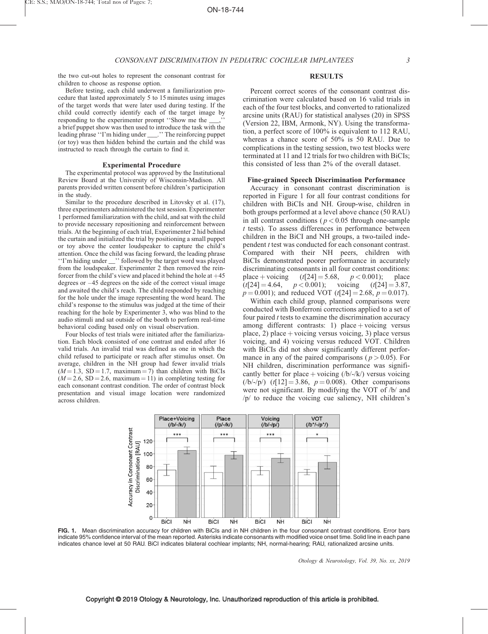the two cut-out holes to represent the consonant contrast for children to choose as response option. Before testing, each child underwent a familiarization pro-

cedure that lasted approximately 5 to 15 minutes using images of the target words that were later used during testing. If the child could correctly identify each of the target image by responding to the experimenter prompt "Show me the a brief puppet show was then used to introduce the task with the leading phrase ''I'm hiding under \_\_\_.'' The reinforcing puppet (or toy) was then hidden behind the curtain and the child was

Experimental Procedure The experimental protocol was approved by the Institutional Review Board at the University of Wisconsin-Madison. All parents provided written consent before children's participation

Similar to the procedure described in Litovsky et al. (17), three experimenters administered the test session. Experimenter 1 performed familiarization with the child, and sat with the child to provide necessary repositioning and reinforcement between trials. At the beginning of each trial, Experimenter 2 hid behind the curtain and initialized the trial by positioning a small puppet or toy above the center loudspeaker to capture the child's attention. Once the child was facing forward, the leading phrase ''I'm hiding under \_\_'' followed by the target word was played from the loudspeaker. Experimenter 2 then removed the reinforcer from the child's view and placed it behind the hole at  $+45$ degrees or –45 degrees on the side of the correct visual image and awaited the child's reach. The child responded by reaching for the hole under the image representing the word heard. The child's response to the stimulus was judged at the time of their reaching for the hole by Experimenter 3, who was blind to the audio stimuli and sat outside of the booth to perform real-time

instructed to reach through the curtain to find it.

behavioral coding based only on visual observation.

Four blocks of test trials were initiated after the familiarization. Each block consisted of one contrast and ended after 16 valid trials. An invalid trial was defined as one in which the child refused to participate or reach after stimulus onset. On average, children in the NH group had fewer invalid trials  $(M = 1.3, SD = 1.7, maximum = 7)$  than children with BiCIs  $(M = 2.6, SD = 2.6, maximum = 11)$  in completing testing for each consonant contrast condition. The order of contrast block presentation and visual image location were randomized

in the study.

across children.

### RESULTS

Percent correct scores of the consonant contrast discrimination were calculated based on 16 valid trials in each of the four test blocks, and converted to rationalized arcsine units (RAU) for statistical analyses (20) in SPSS (Version 22, IBM, Armonk, NY). Using the transformation, a perfect score of 100% is equivalent to 112 RAU, whereas a chance score of 50% is 50 RAU. Due to complications in the testing session, two test blocks were terminated at 11 and 12 trials for two children with BiCIs; this consisted of less than 2% of the overall dataset.

#### Fine-grained Speech Discrimination Performance

Accuracy in consonant contrast discrimination is reported in Figure 1 for all four contrast conditions for children with BiCIs and NH. Group-wise, children in both groups performed at a level above chance (50 RAU) in all contrast conditions ( $p < 0.05$  through one-sample t tests). To assess differences in performance between children in the BiCI and NH groups, a two-tailed independent t test was conducted for each consonant contrast. Compared with their NH peers, children with BiCIs demonstrated poorer performance in accurately discriminating consonants in all four contrast conditions: place + voicing  $(t[24] = 5.68, p < 0.001)$ ; place  $(t[24] = 4.64, \quad p < 0.001);$  voicing  $(t[24] = 3.87,$  $p = 0.001$ ; and reduced VOT (t[24] = 2.68,  $p = 0.017$ ).

Within each child group, planned comparisons were conducted with Bonferroni corrections applied to a set of four paired  $t$  tests to examine the discrimination accuracy among different contrasts: 1) place  $+$  voicing versus place, 2) place  $+$  voicing versus voicing, 3) place versus voicing, and 4) voicing versus reduced VOT. Children with BiCIs did not show significantly different performance in any of the paired comparisons ( $p > 0.05$ ). For NH children, discrimination performance was significantly better for place + voicing  $/(b/-/k')$  versus voicing  $(|b/-p|)$   $(t[12] = 3.86, p = 0.008)$ . Other comparisons were not significant. By modifying the VOT of /b/ and /p/ to reduce the voicing cue saliency, NH children's



FIG. 1. Mean discrimination accuracy for children with BiCIs and in NH children in the four consonant contrast conditions. Error bars indicate 95% confidence interval of the mean reported. Asterisks indicate consonants with modified voice onset time. Solid line in each pane indicates chance level at 50 RAU. BiCI indicates bilateral cochlear implants; NH, normal-hearing; RAU, rationalized arcsine units.

Otology & Neurotology, Vol. 39, No. xx, 2019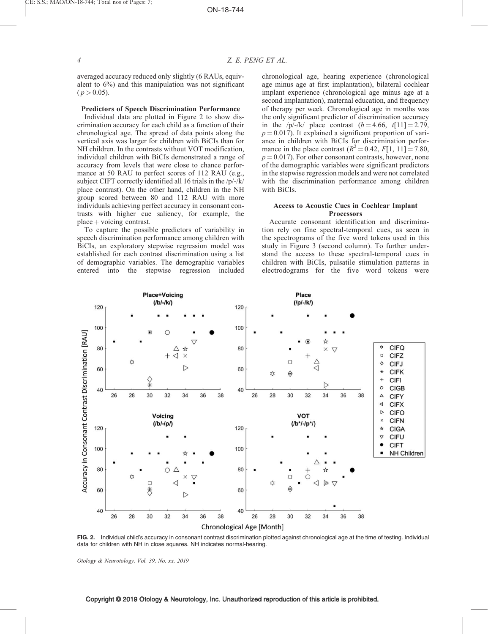averaged accuracy reduced only slightly (6 RAUs, equivalent to 6%) and this manipulation was not significant  $(p > 0.05)$ .

## Predictors of Speech Discrimination Performance

Individual data are plotted in Figure 2 to show discrimination accuracy for each child as a function of their chronological age. The spread of data points along the vertical axis was larger for children with BiCIs than for NH children. In the contrasts without VOT modification, individual children with BiCIs demonstrated a range of accuracy from levels that were close to chance performance at 50 RAU to perfect scores of 112 RAU (e.g., subject CIFT correctly identified all 16 trials in the /p/-/k/ place contrast). On the other hand, children in the NH group scored between 80 and 112 RAU with more individuals achieving perfect accuracy in consonant contrasts with higher cue saliency, for example, the  $place + voicing contrast.$ 

To capture the possible predictors of variability in speech discrimination performance among children with BiCIs, an exploratory stepwise regression model was established for each contrast discrimination using a list of demographic variables. The demographic variables entered into the stepwise regression included

chronological age, hearing experience (chronological age minus age at first implantation), bilateral cochlear implant experience (chronological age minus age at a second implantation), maternal education, and frequency of therapy per week. Chronological age in months was the only significant predictor of discrimination accuracy in the /p/-/k/ place contrast  $(b = 4.66, t[1] = 2.79$ ,  $p = 0.017$ ). It explained a significant proportion of variance in children with BiCIs for discrimination performance in the place contrast  $(R^2 = 0.42, F[1, 11] = 7.80,$  $p = 0.017$ ). For other consonant contrasts, however, none of the demographic variables were significant predictors in the stepwise regression models and were not correlated with the discrimination performance among children with BiCIs.

## Access to Acoustic Cues in Cochlear Implant **Processors**

Accurate consonant identification and discrimination rely on fine spectral-temporal cues, as seen in the spectrograms of the five word tokens used in this study in Figure 3 (second column). To further understand the access to these spectral-temporal cues in children with BiCIs, pulsatile stimulation patterns in electrodograms for the five word tokens were



FIG. 2. Individual child's accuracy in consonant contrast discrimination plotted against chronological age at the time of testing. Individual data for children with NH in close squares. NH indicates normal-hearing.

Otology & Neurotology, Vol. 39, No. xx, 2019

## Copyright © 2019 Otology & Neurotology, Inc. Unauthorized reproduction of this article is prohibited.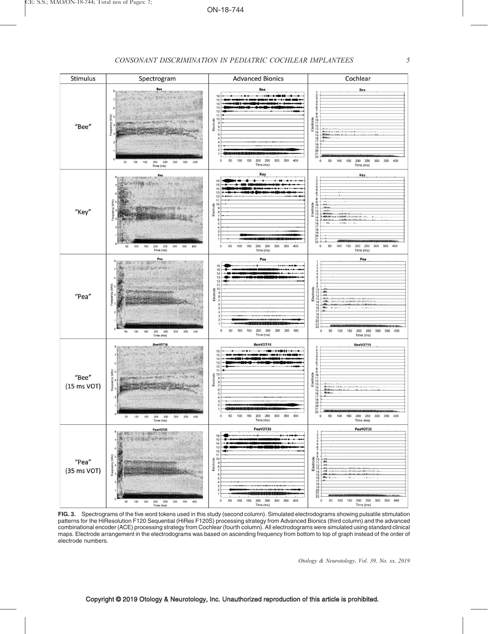

FIG. 3. Spectrograms of the five word tokens used in this study (second column). Simulated electrodograms showing pulsatile stimulation patterns for the HiResolution F120 Sequential (HiRes F120S) processing strategy from Advanced Bionics (third column) and the advanced combinational encoder (ACE) processing strategy from Cochlear (fourth column). All electrodograms were simulated using standard clinical maps. Electrode arrangement in the electrodograms was based on ascending frequency from bottom to top of graph instead of the order of electrode numbers.

Otology & Neurotology, Vol. 39, No. xx, 2019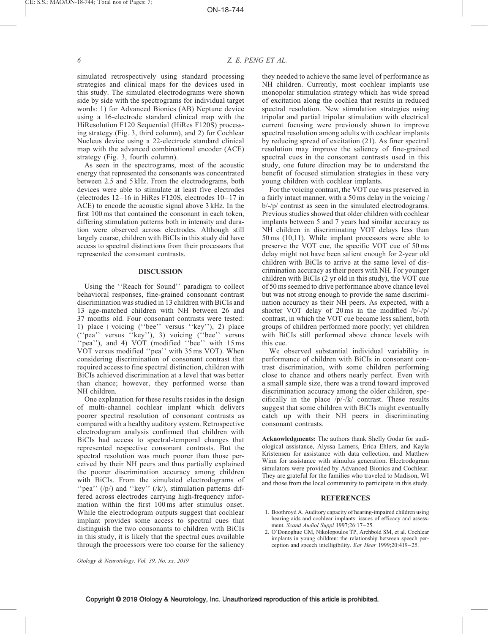simulated retrospectively using standard processing strategies and clinical maps for the devices used in this study. The simulated electrodograms were shown side by side with the spectrograms for individual target words: 1) for Advanced Bionics (AB) Neptune device using a 16-electrode standard clinical map with the HiResolution F120 Sequential (HiRes F120S) processing strategy (Fig. 3, third column), and 2) for Cochlear Nucleus device using a 22-electrode standard clinical map with the advanced combinational encoder (ACE) strategy (Fig. 3, fourth column).

As seen in the spectrograms, most of the acoustic energy that represented the consonants was concentrated between 2.5 and 5 kHz. From the electrodograms, both devices were able to stimulate at least five electrodes (electrodes 12–16 in HiRes F120S, electrodes 10–17 in ACE) to encode the acoustic signal above 3 kHz. In the first 100 ms that contained the consonant in each token, differing stimulation patterns both in intensity and duration were observed across electrodes. Although still largely coarse, children with BiCIs in this study did have access to spectral distinctions from their processors that represented the consonant contrasts.

# DISCUSSION

Using the ''Reach for Sound'' paradigm to collect behavioral responses, fine-grained consonant contrast discrimination was studied in 13 children with BiCIs and 13 age-matched children with NH between 26 and 37 months old. Four consonant contrasts were tested: 1) place  $+$  voicing ("bee" versus "key"), 2) place (''pea'' versus ''key''), 3) voicing (''bee'' versus "pea"), and 4) VOT (modified "bee" with 15 ms VOT versus modified ''pea'' with 35 ms VOT). When considering discrimination of consonant contrast that required access to fine spectral distinction, children with BiCIs achieved discrimination at a level that was better than chance; however, they performed worse than NH children.

One explanation for these results resides in the design of multi-channel cochlear implant which delivers poorer spectral resolution of consonant contrasts as compared with a healthy auditory system. Retrospective electrodogram analysis confirmed that children with BiCIs had access to spectral-temporal changes that represented respective consonant contrasts. But the spectral resolution was much poorer than those perceived by their NH peers and thus partially explained the poorer discrimination accuracy among children with BiCIs. From the simulated electrodograms of "pea"  $(\frac{p}{q})$  and "key"  $(\frac{k}{q})$ , stimulation patterns differed across electrodes carrying high-frequency information within the first 100 ms after stimulus onset. While the electrodogram outputs suggest that cochlear implant provides some access to spectral cues that distinguish the two consonants to children with BiCIs in this study, it is likely that the spectral cues available through the processors were too coarse for the saliency they needed to achieve the same level of performance as NH children. Currently, most cochlear implants use monopolar stimulation strategy which has wide spread of excitation along the cochlea that results in reduced spectral resolution. New stimulation strategies using tripolar and partial tripolar stimulation with electrical current focusing were previously shown to improve spectral resolution among adults with cochlear implants by reducing spread of excitation (21). As finer spectral resolution may improve the saliency of fine-grained spectral cues in the consonant contrasts used in this study, one future direction may be to understand the benefit of focused stimulation strategies in these very young children with cochlear implants.

For the voicing contrast, the VOT cue was preserved in a fairly intact manner, with a 50 ms delay in the voicing / b/-/p/ contrast as seen in the simulated electrodograms. Previous studies showed that older children with cochlear implants between 5 and 7 years had similar accuracy as NH children in discriminating VOT delays less than 50 ms (10,11). While implant processors were able to preserve the VOT cue, the specific VOT cue of 50 ms delay might not have been salient enough for 2-year old children with BiCIs to arrive at the same level of discrimination accuracy as their peers with NH. For younger children with BiCIs (2 yr old in this study), the VOT cue of 50 ms seemed to drive performance above chance level but was not strong enough to provide the same discrimination accuracy as their NH peers. As expected, with a shorter VOT delay of 20 ms in the modified /b/-/p/ contrast, in which the VOT cue became less salient, both groups of children performed more poorly; yet children with BiCIs still performed above chance levels with this cue.

We observed substantial individual variability in performance of children with BiCIs in consonant contrast discrimination, with some children performing close to chance and others nearly perfect. Even with a small sample size, there was a trend toward improved discrimination accuracy among the older children, specifically in the place /p/-/k/ contrast. These results suggest that some children with BiCIs might eventually catch up with their NH peers in discriminating consonant contrasts.

Acknowledgments: The authors thank Shelly Godar for audiological assistance, Alyssa Lamers, Erica Ehlers, and Kayla Kristensen for assistance with data collection, and Matthew Winn for assistance with stimulus generation. Electrodogram simulators were provided by Advanced Bionics and Cochlear. They are grateful for the families who traveled to Madison, WI and those from the local community to participate in this study.

## REFERENCES

- 1. Boothroyd A. Auditory capacity of hearing-impaired children using hearing aids and cochlear implants: issues of efficacy and assessment. Scand Audiol Suppl 1997;26:17–25.
- 2. O'Donoghue GM, Nikolopoulos TP, Archbold SM, et al. Cochlear implants in young children: the relationship between speech perception and speech intelligibility. Ear Hear 1999;20:419–25.